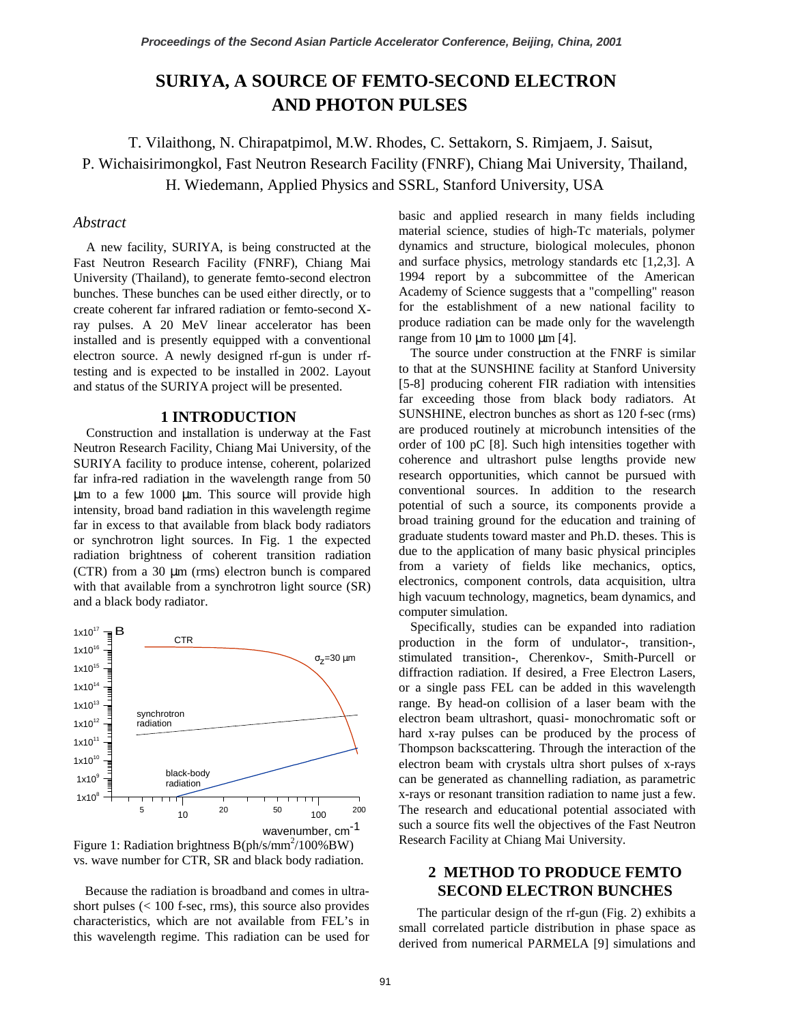# **SURIYA, A SOURCE OF FEMTO-SECOND ELECTRON AND PHOTON PULSES**

 T. Vilaithong, N. Chirapatpimol, M.W. Rhodes, C. Settakorn, S. Rimjaem, J. Saisut, P. Wichaisirimongkol, Fast Neutron Research Facility (FNRF), Chiang Mai University, Thailand, H. Wiedemann, Applied Physics and SSRL, Stanford University, USA

### *Abstract*

A new facility, SURIYA, is being constructed at the Fast Neutron Research Facility (FNRF), Chiang Mai University (Thailand), to generate femto-second electron bunches. These bunches can be used either directly, or to create coherent far infrared radiation or femto-second Xray pulses. A 20 MeV linear accelerator has been installed and is presently equipped with a conventional electron source. A newly designed rf-gun is under rftesting and is expected to be installed in 2002. Layout and status of the SURIYA project will be presented.

#### **1 INTRODUCTION**

Construction and installation is underway at the Fast Neutron Research Facility, Chiang Mai University, of the SURIYA facility to produce intense, coherent, polarized far infra-red radiation in the wavelength range from 50 µm to a few 1000 µm. This source will provide high intensity, broad band radiation in this wavelength regime far in excess to that available from black body radiators or synchrotron light sources. In Fig. 1 the expected radiation brightness of coherent transition radiation (CTR) from a 30 µm (rms) electron bunch is compared with that available from a synchrotron light source (SR) and a black body radiator.



 Figure 1: Radiation brightness B(ph/s/mm2 /100%BW) vs. wave number for CTR, SR and black body radiation.

Because the radiation is broadband and comes in ultrashort pulses (< 100 f-sec, rms), this source also provides characteristics, which are not available from FEL's in this wavelength regime. This radiation can be used for

basic and applied research in many fields including material science, studies of high-Tc materials, polymer dynamics and structure, biological molecules, phonon and surface physics, metrology standards etc [1,2,3]. A 1994 report by a subcommittee of the American Academy of Science suggests that a "compelling" reason for the establishment of a new national facility to produce radiation can be made only for the wavelength range from 10  $\mu$ m to 1000  $\mu$ m [4].

The source under construction at the FNRF is similar to that at the SUNSHINE facility at Stanford University [5-8] producing coherent FIR radiation with intensities far exceeding those from black body radiators. At SUNSHINE, electron bunches as short as 120 f-sec (rms) are produced routinely at microbunch intensities of the order of 100 pC [8]. Such high intensities together with coherence and ultrashort pulse lengths provide new research opportunities, which cannot be pursued with conventional sources. In addition to the research potential of such a source, its components provide a broad training ground for the education and training of graduate students toward master and Ph.D. theses. This is due to the application of many basic physical principles from a variety of fields like mechanics, optics, electronics, component controls, data acquisition, ultra high vacuum technology, magnetics, beam dynamics, and computer simulation.

Specifically, studies can be expanded into radiation production in the form of undulator-, transition-, stimulated transition-, Cherenkov-, Smith-Purcell or diffraction radiation. If desired, a Free Electron Lasers, or a single pass FEL can be added in this wavelength range. By head-on collision of a laser beam with the electron beam ultrashort, quasi- monochromatic soft or hard x-ray pulses can be produced by the process of Thompson backscattering. Through the interaction of the electron beam with crystals ultra short pulses of x-rays can be generated as channelling radiation, as parametric x-rays or resonant transition radiation to name just a few. The research and educational potential associated with such a source fits well the objectives of the Fast Neutron Research Facility at Chiang Mai University.

# **2 METHOD TO PRODUCE FEMTO SECOND ELECTRON BUNCHES**

The particular design of the rf-gun (Fig. 2) exhibits a small correlated particle distribution in phase space as derived from numerical PARMELA [9] simulations and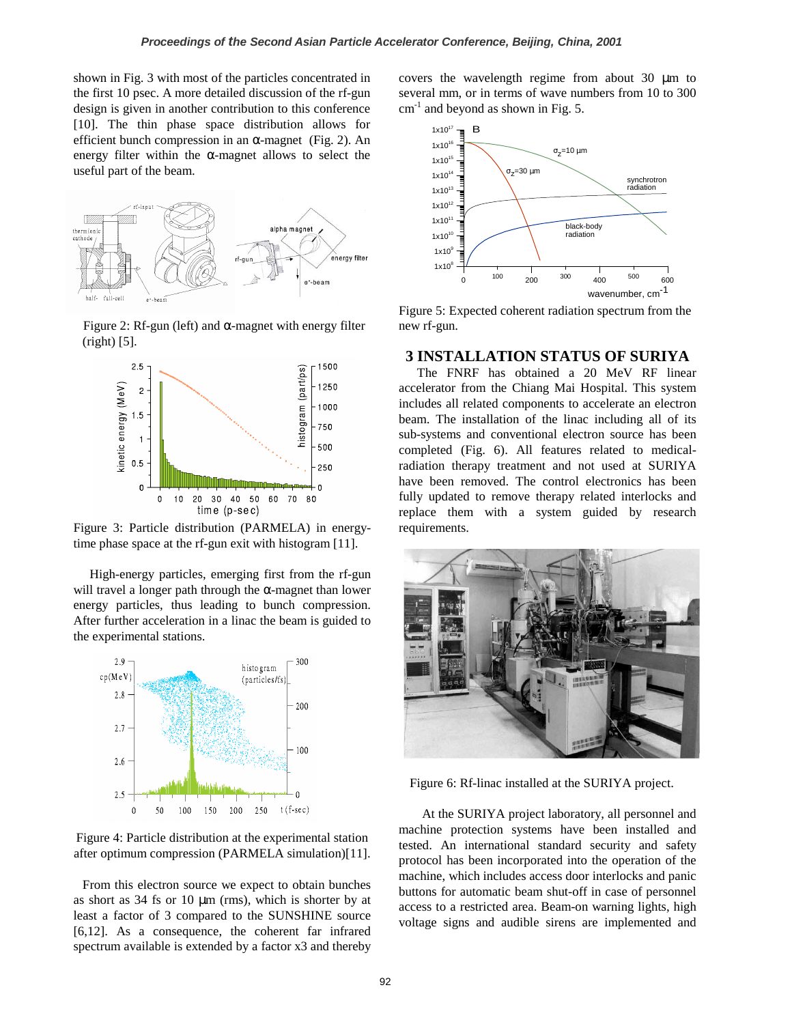shown in Fig. 3 with most of the particles concentrated in the first 10 psec. A more detailed discussion of the rf-gun design is given in another contribution to this conference [10]. The thin phase space distribution allows for efficient bunch compression in an  $\alpha$ -magnet (Fig. 2). An energy filter within the  $\alpha$ -magnet allows to select the useful part of the beam.



Figure 2: Rf-gun (left) and α-magnet with energy filter (right) [5].



Figure 3: Particle distribution (PARMELA) in energytime phase space at the rf-gun exit with histogram [11].

 High-energy particles, emerging first from the rf-gun will travel a longer path through the  $\alpha$ -magnet than lower energy particles, thus leading to bunch compression. After further acceleration in a linac the beam is guided to the experimental stations.



Figure 4: Particle distribution at the experimental station after optimum compression (PARMELA simulation)[11].

From this electron source we expect to obtain bunches as short as  $34$  fs or  $10 \mu m$  (rms), which is shorter by at least a factor of 3 compared to the SUNSHINE source [6,12]. As a consequence, the coherent far infrared spectrum available is extended by a factor x3 and thereby

covers the wavelength regime from about 30 µm to several mm, or in terms of wave numbers from 10 to 300  $cm<sup>-1</sup>$  and beyond as shown in Fig. 5.



Figure 5: Expected coherent radiation spectrum from the new rf-gun.

## **3 INSTALLATION STATUS OF SURIYA**

The FNRF has obtained a 20 MeV RF linear accelerator from the Chiang Mai Hospital. This system includes all related components to accelerate an electron beam. The installation of the linac including all of its sub-systems and conventional electron source has been completed (Fig. 6). All features related to medicalradiation therapy treatment and not used at SURIYA have been removed. The control electronics has been fully updated to remove therapy related interlocks and replace them with a system guided by research requirements.



Figure 6: Rf-linac installed at the SURIYA project.

At the SURIYA project laboratory, all personnel and machine protection systems have been installed and tested. An international standard security and safety protocol has been incorporated into the operation of the machine, which includes access door interlocks and panic buttons for automatic beam shut-off in case of personnel access to a restricted area. Beam-on warning lights, high voltage signs and audible sirens are implemented and